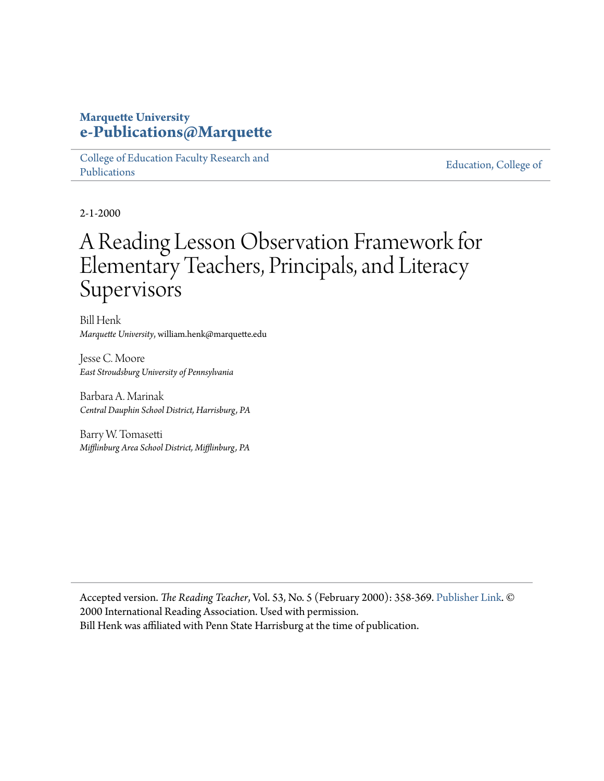#### **Marquette University [e-Publications@Marquette](https://epublications.marquette.edu)**

[College of Education Faculty Research and](https://epublications.marquette.edu/edu_fac) [Publications](https://epublications.marquette.edu/edu_fac)

[Education, College of](https://epublications.marquette.edu/education)

2-1-2000

## A Reading Lesson Observation Framework for Elementary Teachers, Principals, and Literacy **Supervisors**

Bill Henk *Marquette University*, william.henk@marquette.edu

Jesse C. Moore *East Stroudsburg University of Pennsylvania*

Barbara A. Marinak *Central Dauphin School District, Harrisburg, PA*

Barry W. Tomasetti *Mifflinburg Area School District, Mifflinburg, PA*

Accepted version. *The Reading Teacher*, Vol. 53, No. 5 (February 2000): 358-369. [Publisher Link](http://onlinelibrary.wiley.com/journal/10.1002/%28ISSN%291936-2714). © 2000 International Reading Association. Used with permission. Bill Henk was affiliated with Penn State Harrisburg at the time of publication.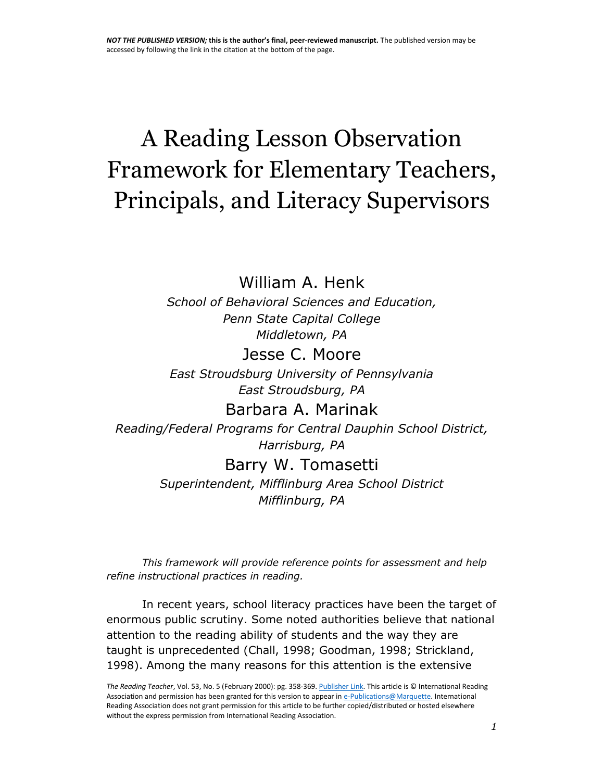# A Reading Lesson Observation Framework for Elementary Teachers, Principals, and Literacy Supervisors

William A. Henk

*School of Behavioral Sciences and Education, Penn State Capital College Middletown, PA*

Jesse C. Moore

*East Stroudsburg University of Pennsylvania East Stroudsburg, PA*

Barbara A. Marinak

*Reading/Federal Programs for Central Dauphin School District, Harrisburg, PA*

#### Barry W. Tomasetti

*Superintendent, Mifflinburg Area School District Mifflinburg, PA*

*This framework will provide reference points for assessment and help refine instructional practices in reading.*

In recent years, school literacy practices have been the target of enormous public scrutiny. Some noted authorities believe that national attention to the reading ability of students and the way they are taught is unprecedented (Chall, 1998; Goodman, 1998; Strickland, 1998). Among the many reasons for this attention is the extensive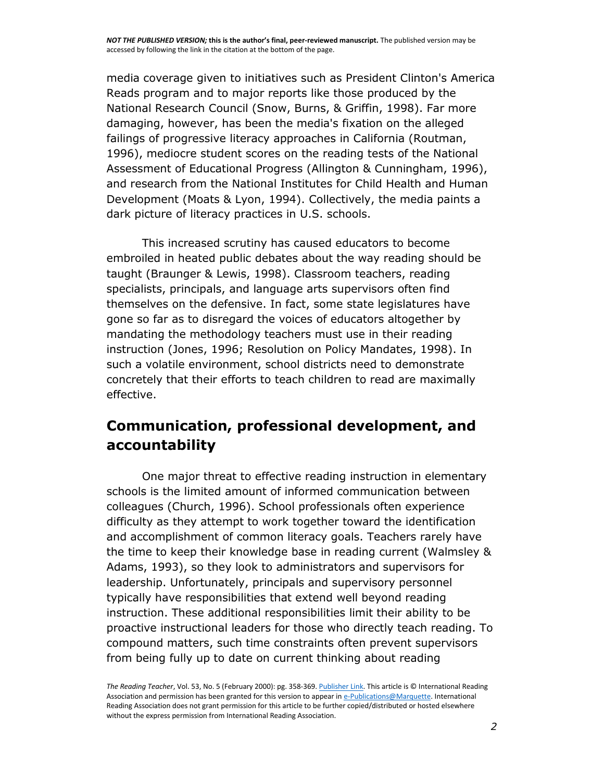media coverage given to initiatives such as President Clinton's America Reads program and to major reports like those produced by the National Research Council (Snow, Burns, & Griffin, 1998). Far more damaging, however, has been the media's fixation on the alleged failings of progressive literacy approaches in California (Routman, 1996), mediocre student scores on the reading tests of the National Assessment of Educational Progress (Allington & Cunningham, 1996), and research from the National Institutes for Child Health and Human Development (Moats & Lyon, 1994). Collectively, the media paints a dark picture of literacy practices in U.S. schools.

This increased scrutiny has caused educators to become embroiled in heated public debates about the way reading should be taught (Braunger & Lewis, 1998). Classroom teachers, reading specialists, principals, and language arts supervisors often find themselves on the defensive. In fact, some state legislatures have gone so far as to disregard the voices of educators altogether by mandating the methodology teachers must use in their reading instruction (Jones, 1996; Resolution on Policy Mandates, 1998). In such a volatile environment, school districts need to demonstrate concretely that their efforts to teach children to read are maximally effective.

## **Communication, professional development, and accountability**

One major threat to effective reading instruction in elementary schools is the limited amount of informed communication between colleagues (Church, 1996). School professionals often experience difficulty as they attempt to work together toward the identification and accomplishment of common literacy goals. Teachers rarely have the time to keep their knowledge base in reading current (Walmsley & Adams, 1993), so they look to administrators and supervisors for leadership. Unfortunately, principals and supervisory personnel typically have responsibilities that extend well beyond reading instruction. These additional responsibilities limit their ability to be proactive instructional leaders for those who directly teach reading. To compound matters, such time constraints often prevent supervisors from being fully up to date on current thinking about reading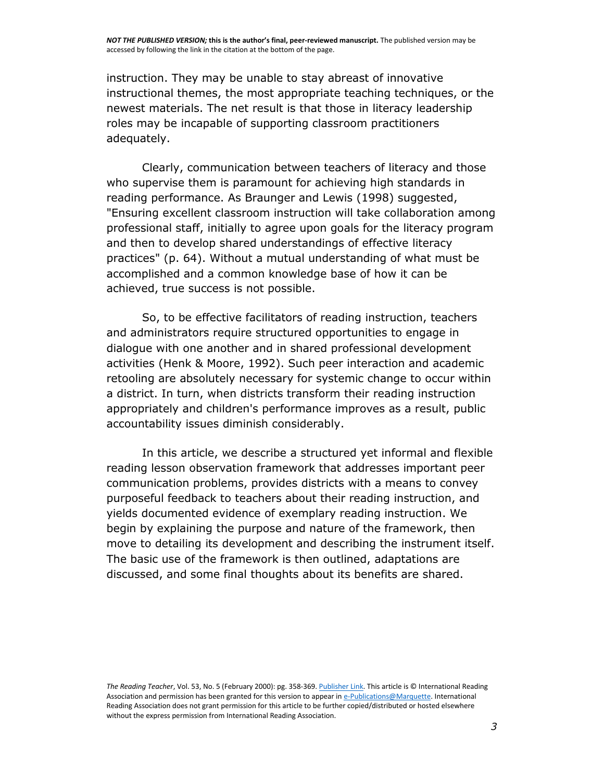instruction. They may be unable to stay abreast of innovative instructional themes, the most appropriate teaching techniques, or the newest materials. The net result is that those in literacy leadership roles may be incapable of supporting classroom practitioners adequately.

Clearly, communication between teachers of literacy and those who supervise them is paramount for achieving high standards in reading performance. As Braunger and Lewis (1998) suggested, "Ensuring excellent classroom instruction will take collaboration among professional staff, initially to agree upon goals for the literacy program and then to develop shared understandings of effective literacy practices" (p. 64). Without a mutual understanding of what must be accomplished and a common knowledge base of how it can be achieved, true success is not possible.

So, to be effective facilitators of reading instruction, teachers and administrators require structured opportunities to engage in dialogue with one another and in shared professional development activities (Henk & Moore, 1992). Such peer interaction and academic retooling are absolutely necessary for systemic change to occur within a district. In turn, when districts transform their reading instruction appropriately and children's performance improves as a result, public accountability issues diminish considerably.

In this article, we describe a structured yet informal and flexible reading lesson observation framework that addresses important peer communication problems, provides districts with a means to convey purposeful feedback to teachers about their reading instruction, and yields documented evidence of exemplary reading instruction. We begin by explaining the purpose and nature of the framework, then move to detailing its development and describing the instrument itself. The basic use of the framework is then outlined, adaptations are discussed, and some final thoughts about its benefits are shared.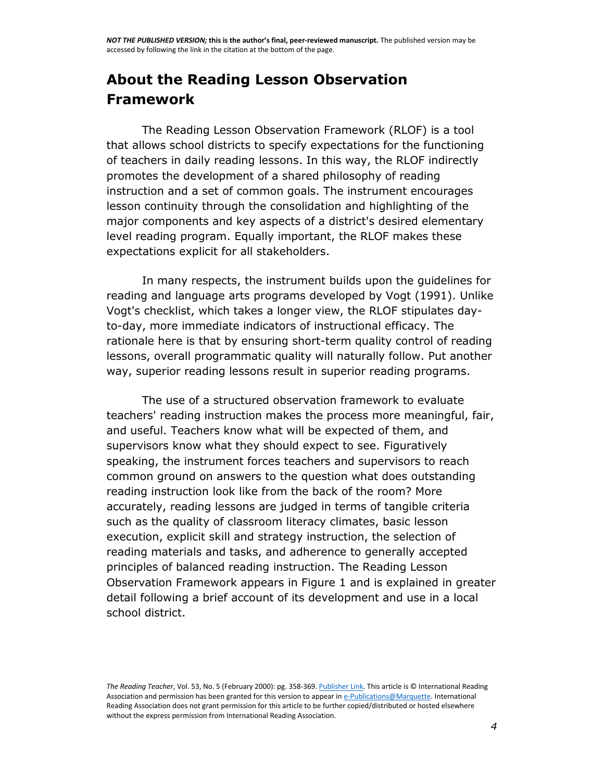## **[About the Reading Lesson Observation](http://0-web.b.ebscohost.com.libus.csd.mu.edu/ehost/detail/detail?vid=3&sid=458f42e2-7a88-43e0-ba14-ca403e802766%40sessionmgr110&hid=116&bdata=JnNpdGU9ZWhvc3QtbGl2ZQ%3d%3d#toc)  [Framework](http://0-web.b.ebscohost.com.libus.csd.mu.edu/ehost/detail/detail?vid=3&sid=458f42e2-7a88-43e0-ba14-ca403e802766%40sessionmgr110&hid=116&bdata=JnNpdGU9ZWhvc3QtbGl2ZQ%3d%3d#toc)**

The Reading Lesson Observation Framework (RLOF) is a tool that allows school districts to specify expectations for the functioning of teachers in daily reading lessons. In this way, the RLOF indirectly promotes the development of a shared philosophy of reading instruction and a set of common goals. The instrument encourages lesson continuity through the consolidation and highlighting of the major components and key aspects of a district's desired elementary level reading program. Equally important, the RLOF makes these expectations explicit for all stakeholders.

In many respects, the instrument builds upon the guidelines for reading and language arts programs developed by Vogt (1991). Unlike Vogt's checklist, which takes a longer view, the RLOF stipulates dayto-day, more immediate indicators of instructional efficacy. The rationale here is that by ensuring short-term quality control of reading lessons, overall programmatic quality will naturally follow. Put another way, superior reading lessons result in superior reading programs.

The use of a structured observation framework to evaluate teachers' reading instruction makes the process more meaningful, fair, and useful. Teachers know what will be expected of them, and supervisors know what they should expect to see. Figuratively speaking, the instrument forces teachers and supervisors to reach common ground on answers to the question what does outstanding reading instruction look like from the back of the room? More accurately, reading lessons are judged in terms of tangible criteria such as the quality of classroom literacy climates, basic lesson execution, explicit skill and strategy instruction, the selection of reading materials and tasks, and adherence to generally accepted principles of balanced reading instruction. The Reading Lesson Observation Framework appears in Figure 1 and is explained in greater detail following a brief account of its development and use in a local school district.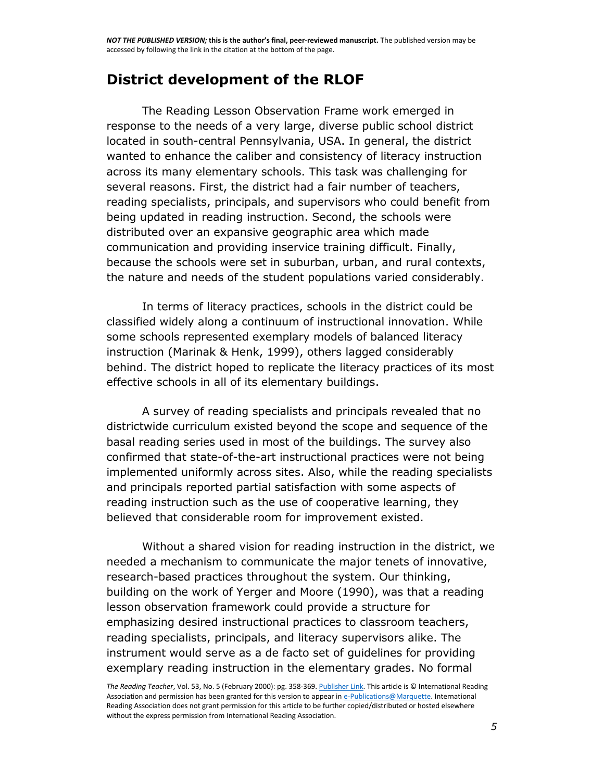## **[District development of the RLOF](http://0-web.b.ebscohost.com.libus.csd.mu.edu/ehost/detail/detail?vid=3&sid=458f42e2-7a88-43e0-ba14-ca403e802766%40sessionmgr110&hid=116&bdata=JnNpdGU9ZWhvc3QtbGl2ZQ%3d%3d#toc)**

The Reading Lesson Observation Frame work emerged in response to the needs of a very large, diverse public school district located in south-central Pennsylvania, USA. In general, the district wanted to enhance the caliber and consistency of literacy instruction across its many elementary schools. This task was challenging for several reasons. First, the district had a fair number of teachers, reading specialists, principals, and supervisors who could benefit from being updated in reading instruction. Second, the schools were distributed over an expansive geographic area which made communication and providing inservice training difficult. Finally, because the schools were set in suburban, urban, and rural contexts, the nature and needs of the student populations varied considerably.

In terms of literacy practices, schools in the district could be classified widely along a continuum of instructional innovation. While some schools represented exemplary models of balanced literacy instruction (Marinak & Henk, 1999), others lagged considerably behind. The district hoped to replicate the literacy practices of its most effective schools in all of its elementary buildings.

A survey of reading specialists and principals revealed that no districtwide curriculum existed beyond the scope and sequence of the basal reading series used in most of the buildings. The survey also confirmed that state-of-the-art instructional practices were not being implemented uniformly across sites. Also, while the reading specialists and principals reported partial satisfaction with some aspects of reading instruction such as the use of cooperative learning, they believed that considerable room for improvement existed.

Without a shared vision for reading instruction in the district, we needed a mechanism to communicate the major tenets of innovative, research-based practices throughout the system. Our thinking, building on the work of Yerger and Moore (1990), was that a reading lesson observation framework could provide a structure for emphasizing desired instructional practices to classroom teachers, reading specialists, principals, and literacy supervisors alike. The instrument would serve as a de facto set of guidelines for providing exemplary reading instruction in the elementary grades. No formal

*The Reading Teacher*, Vol. 53, No. 5 (February 2000): pg. 358-369[. Publisher Link.](http://onlinelibrary.wiley.com/journal/10.1002/%28ISSN%291936-2714) This article is © International Reading Association and permission has been granted for this version to appear i[n e-Publications@Marquette.](http://epublications.marquette.edu/) International Reading Association does not grant permission for this article to be further copied/distributed or hosted elsewhere without the express permission from International Reading Association.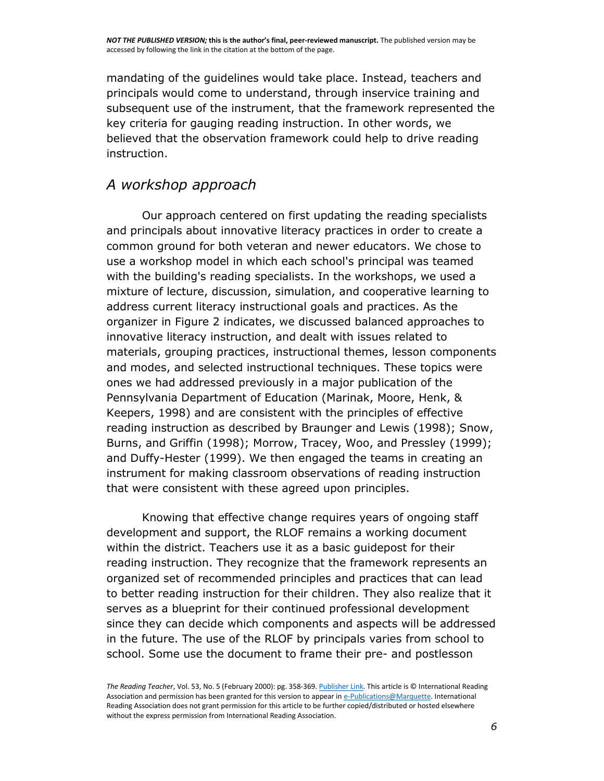mandating of the guidelines would take place. Instead, teachers and principals would come to understand, through inservice training and subsequent use of the instrument, that the framework represented the key criteria for gauging reading instruction. In other words, we believed that the observation framework could help to drive reading instruction.

#### *[A workshop approach](http://0-web.b.ebscohost.com.libus.csd.mu.edu/ehost/detail/detail?vid=3&sid=458f42e2-7a88-43e0-ba14-ca403e802766%40sessionmgr110&hid=116&bdata=JnNpdGU9ZWhvc3QtbGl2ZQ%3d%3d#toc)*

Our approach centered on first updating the reading specialists and principals about innovative literacy practices in order to create a common ground for both veteran and newer educators. We chose to use a workshop model in which each school's principal was teamed with the building's reading specialists. In the workshops, we used a mixture of lecture, discussion, simulation, and cooperative learning to address current literacy instructional goals and practices. As the organizer in Figure 2 indicates, we discussed balanced approaches to innovative literacy instruction, and dealt with issues related to materials, grouping practices, instructional themes, lesson components and modes, and selected instructional techniques. These topics were ones we had addressed previously in a major publication of the Pennsylvania Department of Education (Marinak, Moore, Henk, & Keepers, 1998) and are consistent with the principles of effective reading instruction as described by Braunger and Lewis (1998); Snow, Burns, and Griffin (1998); Morrow, Tracey, Woo, and Pressley (1999); and Duffy-Hester (1999). We then engaged the teams in creating an instrument for making classroom observations of reading instruction that were consistent with these agreed upon principles.

Knowing that effective change requires years of ongoing staff development and support, the RLOF remains a working document within the district. Teachers use it as a basic guidepost for their reading instruction. They recognize that the framework represents an organized set of recommended principles and practices that can lead to better reading instruction for their children. They also realize that it serves as a blueprint for their continued professional development since they can decide which components and aspects will be addressed in the future. The use of the RLOF by principals varies from school to school. Some use the document to frame their pre- and postlesson

*The Reading Teacher*, Vol. 53, No. 5 (February 2000): pg. 358-369[. Publisher Link.](http://onlinelibrary.wiley.com/journal/10.1002/%28ISSN%291936-2714) This article is © International Reading Association and permission has been granted for this version to appear i[n e-Publications@Marquette.](http://epublications.marquette.edu/) International Reading Association does not grant permission for this article to be further copied/distributed or hosted elsewhere without the express permission from International Reading Association.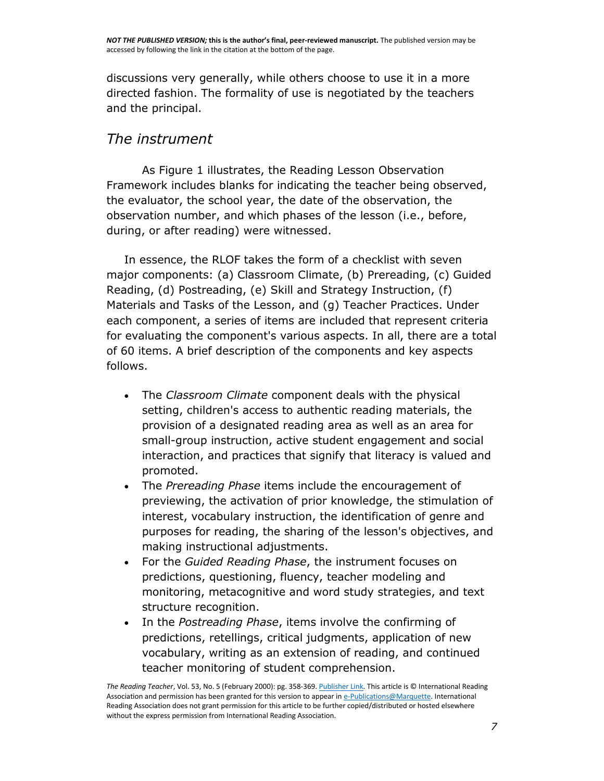discussions very generally, while others choose to use it in a more directed fashion. The formality of use is negotiated by the teachers and the principal.

#### *[The instrument](http://0-web.b.ebscohost.com.libus.csd.mu.edu/ehost/detail/detail?vid=3&sid=458f42e2-7a88-43e0-ba14-ca403e802766%40sessionmgr110&hid=116&bdata=JnNpdGU9ZWhvc3QtbGl2ZQ%3d%3d#toc)*

As Figure 1 illustrates, the Reading Lesson Observation Framework includes blanks for indicating the teacher being observed, the evaluator, the school year, the date of the observation, the observation number, and which phases of the lesson (i.e., before, during, or after reading) were witnessed.

In essence, the RLOF takes the form of a checklist with seven major components: (a) Classroom Climate, (b) Prereading, (c) Guided Reading, (d) Postreading, (e) Skill and Strategy Instruction, (f) Materials and Tasks of the Lesson, and (g) Teacher Practices. Under each component, a series of items are included that represent criteria for evaluating the component's various aspects. In all, there are a total of 60 items. A brief description of the components and key aspects follows.

- The *Classroom Climate* component deals with the physical setting, children's access to authentic reading materials, the provision of a designated reading area as well as an area for small-group instruction, active student engagement and social interaction, and practices that signify that literacy is valued and promoted.
- The *Prereading Phase* items include the encouragement of previewing, the activation of prior knowledge, the stimulation of interest, vocabulary instruction, the identification of genre and purposes for reading, the sharing of the lesson's objectives, and making instructional adjustments.
- For the *Guided Reading Phase*, the instrument focuses on predictions, questioning, fluency, teacher modeling and monitoring, metacognitive and word study strategies, and text structure recognition.
- In the *Postreading Phase*, items involve the confirming of predictions, retellings, critical judgments, application of new vocabulary, writing as an extension of reading, and continued teacher monitoring of student comprehension.

*The Reading Teacher*, Vol. 53, No. 5 (February 2000): pg. 358-369[. Publisher Link.](http://onlinelibrary.wiley.com/journal/10.1002/%28ISSN%291936-2714) This article is © International Reading Association and permission has been granted for this version to appear i[n e-Publications@Marquette.](http://epublications.marquette.edu/) International Reading Association does not grant permission for this article to be further copied/distributed or hosted elsewhere without the express permission from International Reading Association.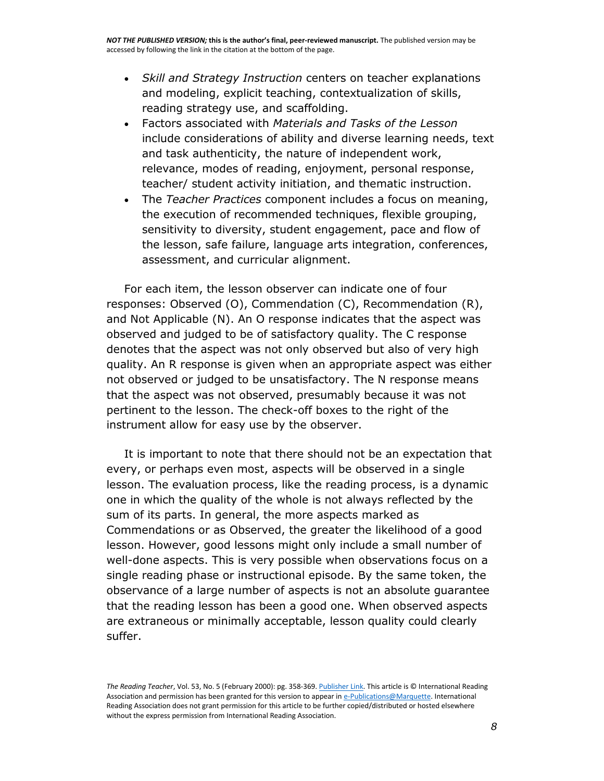- *Skill and Strategy Instruction* centers on teacher explanations and modeling, explicit teaching, contextualization of skills, reading strategy use, and scaffolding.
- Factors associated with *Materials and Tasks of the Lesson* include considerations of ability and diverse learning needs, text and task authenticity, the nature of independent work, relevance, modes of reading, enjoyment, personal response, teacher/ student activity initiation, and thematic instruction.
- The *Teacher Practices* component includes a focus on meaning, the execution of recommended techniques, flexible grouping, sensitivity to diversity, student engagement, pace and flow of the lesson, safe failure, language arts integration, conferences, assessment, and curricular alignment.

For each item, the lesson observer can indicate one of four responses: Observed (O), Commendation (C), Recommendation (R), and Not Applicable (N). An O response indicates that the aspect was observed and judged to be of satisfactory quality. The C response denotes that the aspect was not only observed but also of very high quality. An R response is given when an appropriate aspect was either not observed or judged to be unsatisfactory. The N response means that the aspect was not observed, presumably because it was not pertinent to the lesson. The check-off boxes to the right of the instrument allow for easy use by the observer.

It is important to note that there should not be an expectation that every, or perhaps even most, aspects will be observed in a single lesson. The evaluation process, like the reading process, is a dynamic one in which the quality of the whole is not always reflected by the sum of its parts. In general, the more aspects marked as Commendations or as Observed, the greater the likelihood of a good lesson. However, good lessons might only include a small number of well-done aspects. This is very possible when observations focus on a single reading phase or instructional episode. By the same token, the observance of a large number of aspects is not an absolute guarantee that the reading lesson has been a good one. When observed aspects are extraneous or minimally acceptable, lesson quality could clearly suffer.

*The Reading Teacher*, Vol. 53, No. 5 (February 2000): pg. 358-369[. Publisher Link.](http://onlinelibrary.wiley.com/journal/10.1002/%28ISSN%291936-2714) This article is © International Reading Association and permission has been granted for this version to appear i[n e-Publications@Marquette.](http://epublications.marquette.edu/) International Reading Association does not grant permission for this article to be further copied/distributed or hosted elsewhere without the express permission from International Reading Association.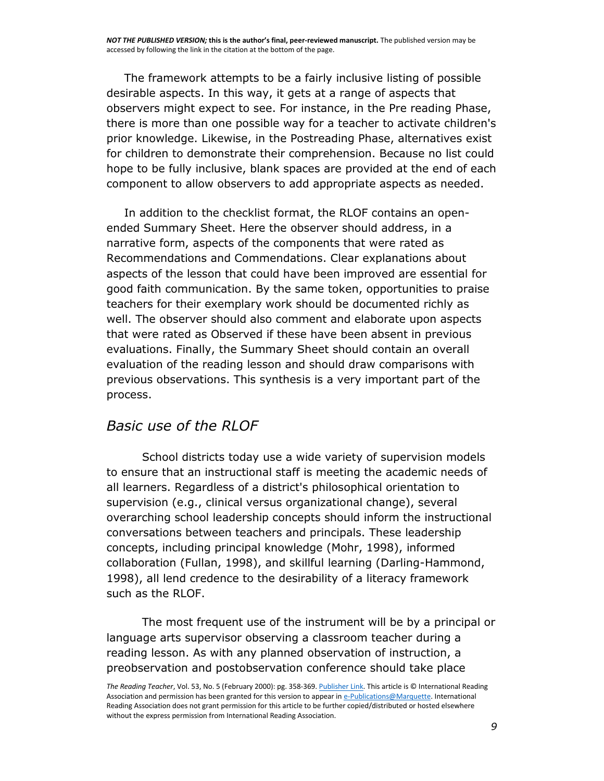The framework attempts to be a fairly inclusive listing of possible desirable aspects. In this way, it gets at a range of aspects that observers might expect to see. For instance, in the Pre reading Phase, there is more than one possible way for a teacher to activate children's prior knowledge. Likewise, in the Postreading Phase, alternatives exist for children to demonstrate their comprehension. Because no list could hope to be fully inclusive, blank spaces are provided at the end of each component to allow observers to add appropriate aspects as needed.

In addition to the checklist format, the RLOF contains an openended Summary Sheet. Here the observer should address, in a narrative form, aspects of the components that were rated as Recommendations and Commendations. Clear explanations about aspects of the lesson that could have been improved are essential for good faith communication. By the same token, opportunities to praise teachers for their exemplary work should be documented richly as well. The observer should also comment and elaborate upon aspects that were rated as Observed if these have been absent in previous evaluations. Finally, the Summary Sheet should contain an overall evaluation of the reading lesson and should draw comparisons with previous observations. This synthesis is a very important part of the process.

#### *[Basic use of the RLOF](http://0-web.b.ebscohost.com.libus.csd.mu.edu/ehost/detail/detail?vid=3&sid=458f42e2-7a88-43e0-ba14-ca403e802766%40sessionmgr110&hid=116&bdata=JnNpdGU9ZWhvc3QtbGl2ZQ%3d%3d#toc)*

School districts today use a wide variety of supervision models to ensure that an instructional staff is meeting the academic needs of all learners. Regardless of a district's philosophical orientation to supervision (e.g., clinical versus organizational change), several overarching school leadership concepts should inform the instructional conversations between teachers and principals. These leadership concepts, including principal knowledge (Mohr, 1998), informed collaboration (Fullan, 1998), and skillful learning (Darling-Hammond, 1998), all lend credence to the desirability of a literacy framework such as the RLOF.

The most frequent use of the instrument will be by a principal or language arts supervisor observing a classroom teacher during a reading lesson. As with any planned observation of instruction, a preobservation and postobservation conference should take place

*The Reading Teacher*, Vol. 53, No. 5 (February 2000): pg. 358-369[. Publisher Link.](http://onlinelibrary.wiley.com/journal/10.1002/%28ISSN%291936-2714) This article is © International Reading Association and permission has been granted for this version to appear i[n e-Publications@Marquette.](http://epublications.marquette.edu/) International Reading Association does not grant permission for this article to be further copied/distributed or hosted elsewhere without the express permission from International Reading Association.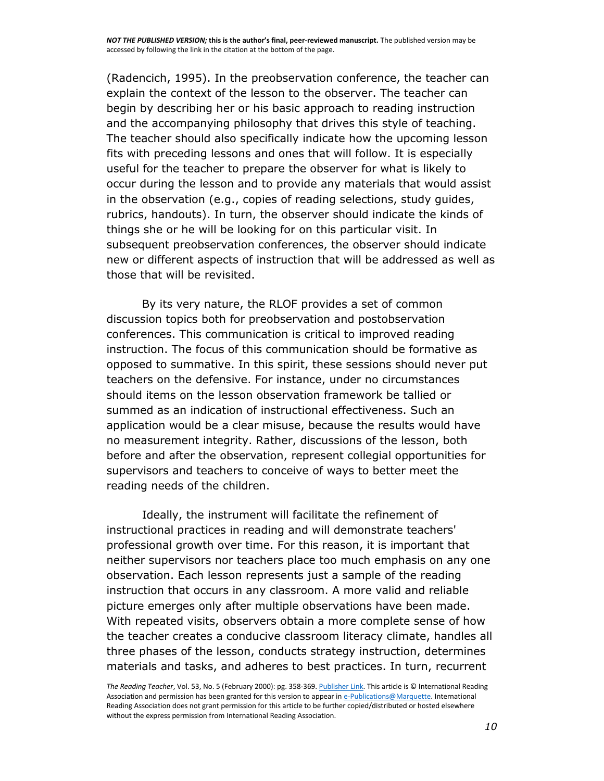(Radencich, 1995). In the preobservation conference, the teacher can explain the context of the lesson to the observer. The teacher can begin by describing her or his basic approach to reading instruction and the accompanying philosophy that drives this style of teaching. The teacher should also specifically indicate how the upcoming lesson fits with preceding lessons and ones that will follow. It is especially useful for the teacher to prepare the observer for what is likely to occur during the lesson and to provide any materials that would assist in the observation (e.g., copies of reading selections, study guides, rubrics, handouts). In turn, the observer should indicate the kinds of things she or he will be looking for on this particular visit. In subsequent preobservation conferences, the observer should indicate new or different aspects of instruction that will be addressed as well as those that will be revisited.

By its very nature, the RLOF provides a set of common discussion topics both for preobservation and postobservation conferences. This communication is critical to improved reading instruction. The focus of this communication should be formative as opposed to summative. In this spirit, these sessions should never put teachers on the defensive. For instance, under no circumstances should items on the lesson observation framework be tallied or summed as an indication of instructional effectiveness. Such an application would be a clear misuse, because the results would have no measurement integrity. Rather, discussions of the lesson, both before and after the observation, represent collegial opportunities for supervisors and teachers to conceive of ways to better meet the reading needs of the children.

Ideally, the instrument will facilitate the refinement of instructional practices in reading and will demonstrate teachers' professional growth over time. For this reason, it is important that neither supervisors nor teachers place too much emphasis on any one observation. Each lesson represents just a sample of the reading instruction that occurs in any classroom. A more valid and reliable picture emerges only after multiple observations have been made. With repeated visits, observers obtain a more complete sense of how the teacher creates a conducive classroom literacy climate, handles all three phases of the lesson, conducts strategy instruction, determines materials and tasks, and adheres to best practices. In turn, recurrent

*The Reading Teacher*, Vol. 53, No. 5 (February 2000): pg. 358-369[. Publisher Link.](http://onlinelibrary.wiley.com/journal/10.1002/%28ISSN%291936-2714) This article is © International Reading Association and permission has been granted for this version to appear i[n e-Publications@Marquette.](http://epublications.marquette.edu/) International Reading Association does not grant permission for this article to be further copied/distributed or hosted elsewhere without the express permission from International Reading Association.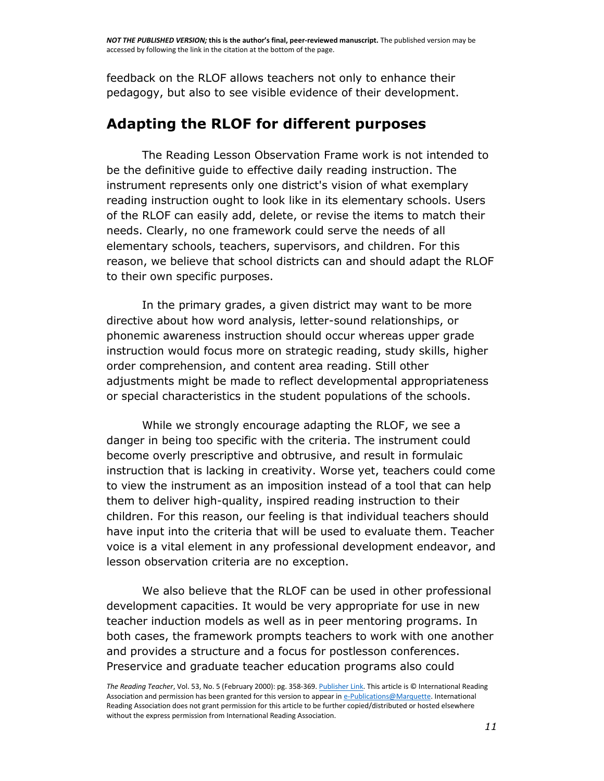feedback on the RLOF allows teachers not only to enhance their pedagogy, but also to see visible evidence of their development.

### **[Adapting the RLOF for different purposes](http://0-web.b.ebscohost.com.libus.csd.mu.edu/ehost/detail/detail?vid=3&sid=458f42e2-7a88-43e0-ba14-ca403e802766%40sessionmgr110&hid=116&bdata=JnNpdGU9ZWhvc3QtbGl2ZQ%3d%3d#toc)**

The Reading Lesson Observation Frame work is not intended to be the definitive guide to effective daily reading instruction. The instrument represents only one district's vision of what exemplary reading instruction ought to look like in its elementary schools. Users of the RLOF can easily add, delete, or revise the items to match their needs. Clearly, no one framework could serve the needs of all elementary schools, teachers, supervisors, and children. For this reason, we believe that school districts can and should adapt the RLOF to their own specific purposes.

In the primary grades, a given district may want to be more directive about how word analysis, letter-sound relationships, or phonemic awareness instruction should occur whereas upper grade instruction would focus more on strategic reading, study skills, higher order comprehension, and content area reading. Still other adjustments might be made to reflect developmental appropriateness or special characteristics in the student populations of the schools.

While we strongly encourage adapting the RLOF, we see a danger in being too specific with the criteria. The instrument could become overly prescriptive and obtrusive, and result in formulaic instruction that is lacking in creativity. Worse yet, teachers could come to view the instrument as an imposition instead of a tool that can help them to deliver high-quality, inspired reading instruction to their children. For this reason, our feeling is that individual teachers should have input into the criteria that will be used to evaluate them. Teacher voice is a vital element in any professional development endeavor, and lesson observation criteria are no exception.

We also believe that the RLOF can be used in other professional development capacities. It would be very appropriate for use in new teacher induction models as well as in peer mentoring programs. In both cases, the framework prompts teachers to work with one another and provides a structure and a focus for postlesson conferences. Preservice and graduate teacher education programs also could

*The Reading Teacher*, Vol. 53, No. 5 (February 2000): pg. 358-369[. Publisher Link.](http://onlinelibrary.wiley.com/journal/10.1002/%28ISSN%291936-2714) This article is © International Reading Association and permission has been granted for this version to appear i[n e-Publications@Marquette.](http://epublications.marquette.edu/) International Reading Association does not grant permission for this article to be further copied/distributed or hosted elsewhere without the express permission from International Reading Association.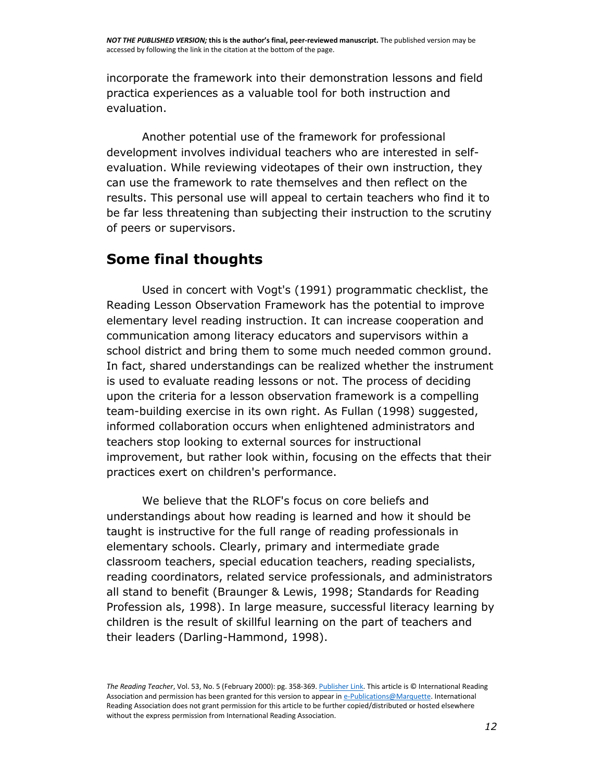incorporate the framework into their demonstration lessons and field practica experiences as a valuable tool for both instruction and evaluation.

Another potential use of the framework for professional development involves individual teachers who are interested in selfevaluation. While reviewing videotapes of their own instruction, they can use the framework to rate themselves and then reflect on the results. This personal use will appeal to certain teachers who find it to be far less threatening than subjecting their instruction to the scrutiny of peers or supervisors.

## **[Some final thoughts](http://0-web.b.ebscohost.com.libus.csd.mu.edu/ehost/detail/detail?vid=3&sid=458f42e2-7a88-43e0-ba14-ca403e802766%40sessionmgr110&hid=116&bdata=JnNpdGU9ZWhvc3QtbGl2ZQ%3d%3d#toc)**

Used in concert with Vogt's (1991) programmatic checklist, the Reading Lesson Observation Framework has the potential to improve elementary level reading instruction. It can increase cooperation and communication among literacy educators and supervisors within a school district and bring them to some much needed common ground. In fact, shared understandings can be realized whether the instrument is used to evaluate reading lessons or not. The process of deciding upon the criteria for a lesson observation framework is a compelling team-building exercise in its own right. As Fullan (1998) suggested, informed collaboration occurs when enlightened administrators and teachers stop looking to external sources for instructional improvement, but rather look within, focusing on the effects that their practices exert on children's performance.

We believe that the RLOF's focus on core beliefs and understandings about how reading is learned and how it should be taught is instructive for the full range of reading professionals in elementary schools. Clearly, primary and intermediate grade classroom teachers, special education teachers, reading specialists, reading coordinators, related service professionals, and administrators all stand to benefit (Braunger & Lewis, 1998; Standards for Reading Profession als, 1998). In large measure, successful literacy learning by children is the result of skillful learning on the part of teachers and their leaders (Darling-Hammond, 1998).

*The Reading Teacher*, Vol. 53, No. 5 (February 2000): pg. 358-369[. Publisher Link.](http://onlinelibrary.wiley.com/journal/10.1002/%28ISSN%291936-2714) This article is © International Reading Association and permission has been granted for this version to appear i[n e-Publications@Marquette.](http://epublications.marquette.edu/) International Reading Association does not grant permission for this article to be further copied/distributed or hosted elsewhere without the express permission from International Reading Association.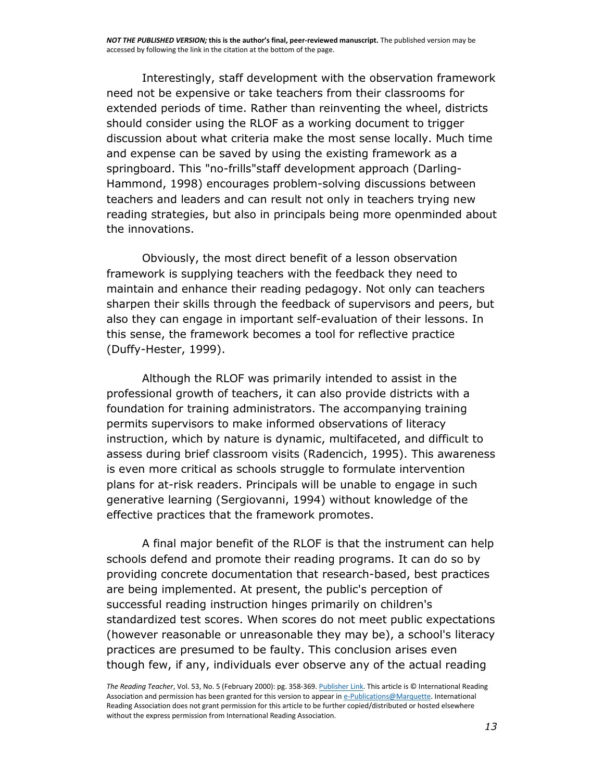Interestingly, staff development with the observation framework need not be expensive or take teachers from their classrooms for extended periods of time. Rather than reinventing the wheel, districts should consider using the RLOF as a working document to trigger discussion about what criteria make the most sense locally. Much time and expense can be saved by using the existing framework as a springboard. This "no-frills"staff development approach (Darling-Hammond, 1998) encourages problem-solving discussions between teachers and leaders and can result not only in teachers trying new reading strategies, but also in principals being more openminded about the innovations.

Obviously, the most direct benefit of a lesson observation framework is supplying teachers with the feedback they need to maintain and enhance their reading pedagogy. Not only can teachers sharpen their skills through the feedback of supervisors and peers, but also they can engage in important self-evaluation of their lessons. In this sense, the framework becomes a tool for reflective practice (Duffy-Hester, 1999).

Although the RLOF was primarily intended to assist in the professional growth of teachers, it can also provide districts with a foundation for training administrators. The accompanying training permits supervisors to make informed observations of literacy instruction, which by nature is dynamic, multifaceted, and difficult to assess during brief classroom visits (Radencich, 1995). This awareness is even more critical as schools struggle to formulate intervention plans for at-risk readers. Principals will be unable to engage in such generative learning (Sergiovanni, 1994) without knowledge of the effective practices that the framework promotes.

A final major benefit of the RLOF is that the instrument can help schools defend and promote their reading programs. It can do so by providing concrete documentation that research-based, best practices are being implemented. At present, the public's perception of successful reading instruction hinges primarily on children's standardized test scores. When scores do not meet public expectations (however reasonable or unreasonable they may be), a school's literacy practices are presumed to be faulty. This conclusion arises even though few, if any, individuals ever observe any of the actual reading

*The Reading Teacher*, Vol. 53, No. 5 (February 2000): pg. 358-369[. Publisher Link.](http://onlinelibrary.wiley.com/journal/10.1002/%28ISSN%291936-2714) This article is © International Reading Association and permission has been granted for this version to appear i[n e-Publications@Marquette.](http://epublications.marquette.edu/) International Reading Association does not grant permission for this article to be further copied/distributed or hosted elsewhere without the express permission from International Reading Association.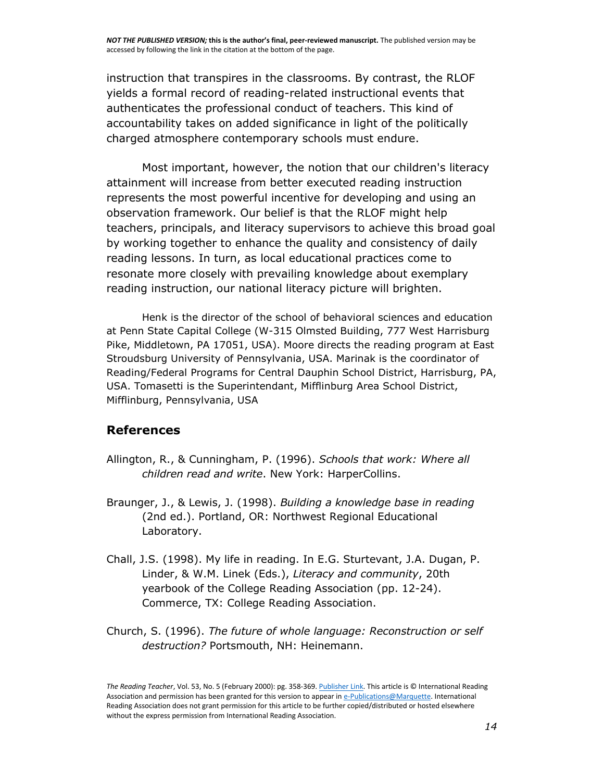instruction that transpires in the classrooms. By contrast, the RLOF yields a formal record of reading-related instructional events that authenticates the professional conduct of teachers. This kind of accountability takes on added significance in light of the politically charged atmosphere contemporary schools must endure.

Most important, however, the notion that our children's literacy attainment will increase from better executed reading instruction represents the most powerful incentive for developing and using an observation framework. Our belief is that the RLOF might help teachers, principals, and literacy supervisors to achieve this broad goal by working together to enhance the quality and consistency of daily reading lessons. In turn, as local educational practices come to resonate more closely with prevailing knowledge about exemplary reading instruction, our national literacy picture will brighten.

Henk is the director of the school of behavioral sciences and education at Penn State Capital College (W-315 Olmsted Building, 777 West Harrisburg Pike, Middletown, PA 17051, USA). Moore directs the reading program at East Stroudsburg University of Pennsylvania, USA. Marinak is the coordinator of Reading/Federal Programs for Central Dauphin School District, Harrisburg, PA, USA. Tomasetti is the Superintendant, Mifflinburg Area School District, Mifflinburg, Pennsylvania, USA

#### **[References](http://0-web.b.ebscohost.com.libus.csd.mu.edu/ehost/detail/detail?vid=3&sid=458f42e2-7a88-43e0-ba14-ca403e802766%40sessionmgr110&hid=116&bdata=JnNpdGU9ZWhvc3QtbGl2ZQ%3d%3d#toc)**

- Allington, R., & Cunningham, P. (1996). *Schools that work: Where all children read and write*. New York: HarperCollins.
- Braunger, J., & Lewis, J. (1998). *Building a knowledge base in reading*  (2nd ed.). Portland, OR: Northwest Regional Educational Laboratory.
- Chall, J.S. (1998). My life in reading. In E.G. Sturtevant, J.A. Dugan, P. Linder, & W.M. Linek (Eds.), *Literacy and community*, 20th yearbook of the College Reading Association (pp. 12-24). Commerce, TX: College Reading Association.
- Church, S. (1996). *The future of whole language: Reconstruction or self destruction?* Portsmouth, NH: Heinemann.

*The Reading Teacher*, Vol. 53, No. 5 (February 2000): pg. 358-369[. Publisher Link.](http://onlinelibrary.wiley.com/journal/10.1002/%28ISSN%291936-2714) This article is © International Reading Association and permission has been granted for this version to appear i[n e-Publications@Marquette.](http://epublications.marquette.edu/) International Reading Association does not grant permission for this article to be further copied/distributed or hosted elsewhere without the express permission from International Reading Association.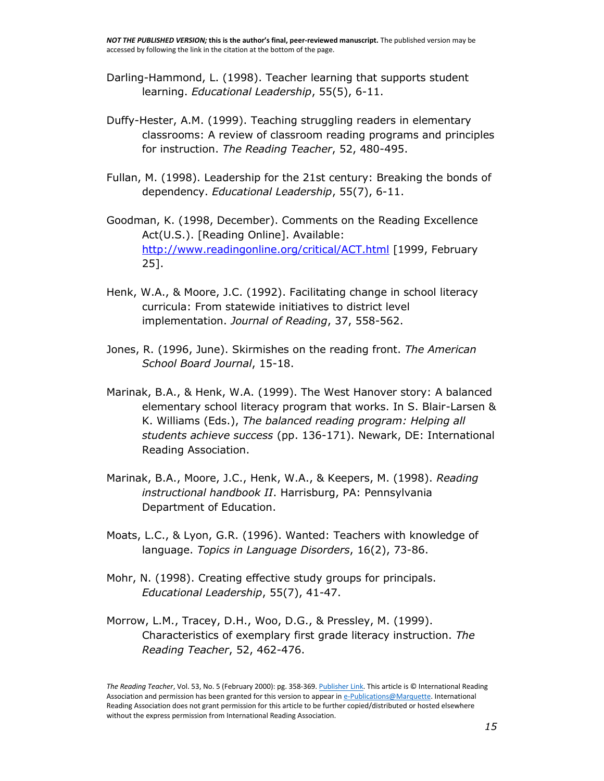- Darling-Hammond, L. (1998). Teacher learning that supports student learning. *Educational Leadership*, 55(5), 6-11.
- Duffy-Hester, A.M. (1999). Teaching struggling readers in elementary classrooms: A review of classroom reading programs and principles for instruction. *The Reading Teacher*, 52, 480-495.
- Fullan, M. (1998). Leadership for the 21st century: Breaking the bonds of dependency. *Educational Leadership*, 55(7), 6-11.
- Goodman, K. (1998, December). Comments on the Reading Excellence Act(U.S.). [Reading Online]. Available: <http://www.readingonline.org/critical/ACT.html> [1999, February 25].
- Henk, W.A., & Moore, J.C. (1992). Facilitating change in school literacy curricula: From statewide initiatives to district level implementation. *Journal of Reading*, 37, 558-562.
- Jones, R. (1996, June). Skirmishes on the reading front. *The American School Board Journal*, 15-18.
- Marinak, B.A., & Henk, W.A. (1999). The West Hanover story: A balanced elementary school literacy program that works. In S. Blair-Larsen & K. Williams (Eds.), *The balanced reading program: Helping all students achieve success* (pp. 136-171). Newark, DE: International Reading Association.
- Marinak, B.A., Moore, J.C., Henk, W.A., & Keepers, M. (1998). *Reading instructional handbook II*. Harrisburg, PA: Pennsylvania Department of Education.
- Moats, L.C., & Lyon, G.R. (1996). Wanted: Teachers with knowledge of language. *Topics in Language Disorders*, 16(2), 73-86.
- Mohr, N. (1998). Creating effective study groups for principals. *Educational Leadership*, 55(7), 41-47.
- Morrow, L.M., Tracey, D.H., Woo, D.G., & Pressley, M. (1999). Characteristics of exemplary first grade literacy instruction. *The Reading Teacher*, 52, 462-476.

*The Reading Teacher*, Vol. 53, No. 5 (February 2000): pg. 358-369[. Publisher Link.](http://onlinelibrary.wiley.com/journal/10.1002/%28ISSN%291936-2714) This article is © International Reading Association and permission has been granted for this version to appear i[n e-Publications@Marquette.](http://epublications.marquette.edu/) International Reading Association does not grant permission for this article to be further copied/distributed or hosted elsewhere without the express permission from International Reading Association.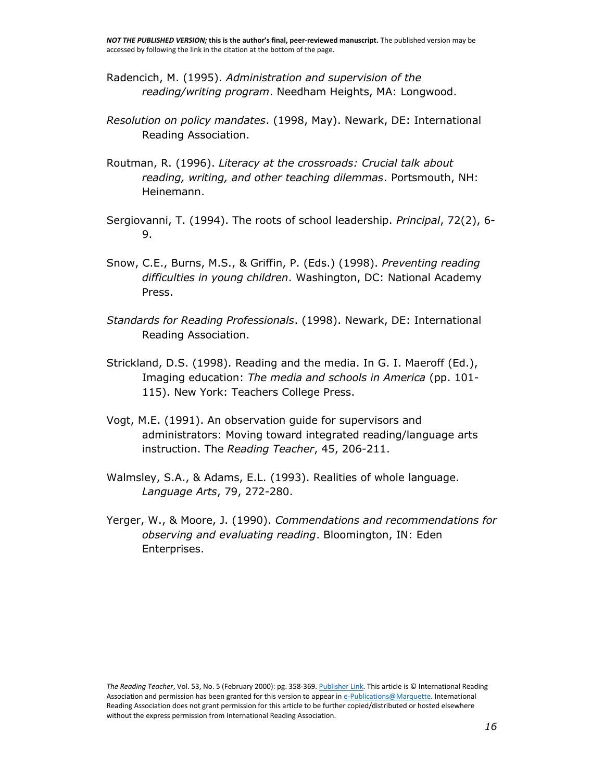- Radencich, M. (1995). *Administration and supervision of the reading/writing program*. Needham Heights, MA: Longwood.
- *Resolution on policy mandates*. (1998, May). Newark, DE: International Reading Association.
- Routman, R. (1996). *Literacy at the crossroads: Crucial talk about reading, writing, and other teaching dilemmas*. Portsmouth, NH: Heinemann.
- Sergiovanni, T. (1994). The roots of school leadership. *Principal*, 72(2), 6- 9.
- Snow, C.E., Burns, M.S., & Griffin, P. (Eds.) (1998). *Preventing reading difficulties in young children*. Washington, DC: National Academy Press.
- *Standards for Reading Professionals*. (1998). Newark, DE: International Reading Association.
- Strickland, D.S. (1998). Reading and the media. In G. I. Maeroff (Ed.), Imaging education: *The media and schools in America* (pp. 101- 115). New York: Teachers College Press.
- Vogt, M.E. (1991). An observation guide for supervisors and administrators: Moving toward integrated reading/language arts instruction. The *Reading Teacher*, 45, 206-211.
- Walmsley, S.A., & Adams, E.L. (1993). Realities of whole language. *Language Arts*, 79, 272-280.
- Yerger, W., & Moore, J. (1990). *Commendations and recommendations for observing and evaluating reading*. Bloomington, IN: Eden Enterprises.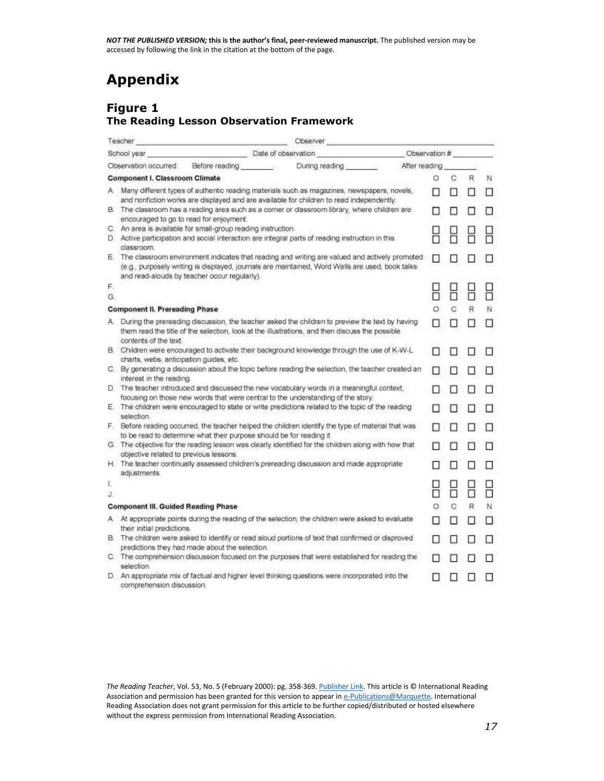## **Appendix**

#### **Figure 1 The Reading Lesson Observation Framework**

|                                                                                                                                                                                           | Teacher                                                                                                                                                                                                                                              |                     |  | Observer                                                                                                                                                                      |               |   |   |   |   |
|-------------------------------------------------------------------------------------------------------------------------------------------------------------------------------------------|------------------------------------------------------------------------------------------------------------------------------------------------------------------------------------------------------------------------------------------------------|---------------------|--|-------------------------------------------------------------------------------------------------------------------------------------------------------------------------------|---------------|---|---|---|---|
| School year                                                                                                                                                                               |                                                                                                                                                                                                                                                      | Date of observation |  |                                                                                                                                                                               | Observation # |   |   |   |   |
|                                                                                                                                                                                           | Observation occurred:                                                                                                                                                                                                                                | Before reading      |  | During reading                                                                                                                                                                | After reading |   |   |   |   |
|                                                                                                                                                                                           | <b>Component I. Classroom Climate</b>                                                                                                                                                                                                                |                     |  |                                                                                                                                                                               | Ο             | с | R | N |   |
| A. Many different types of authentic reading materials such as magazines, newspapers, novels,<br>and nonfiction works are displayed and are available for children to read independently. |                                                                                                                                                                                                                                                      |                     |  |                                                                                                                                                                               |               |   |   |   |   |
|                                                                                                                                                                                           | B. The classroom has a reading area such as a corner or classroom library, where children are<br>encouraged to go to read for enjoyment.                                                                                                             |                     |  |                                                                                                                                                                               |               |   |   |   |   |
|                                                                                                                                                                                           | C. An area is available for small-group reading instruction.                                                                                                                                                                                         |                     |  |                                                                                                                                                                               |               |   |   |   |   |
|                                                                                                                                                                                           | D. Active participation and social interaction are integral parts of reading instruction in this<br>classroom                                                                                                                                        |                     |  |                                                                                                                                                                               |               |   |   |   |   |
|                                                                                                                                                                                           | E. The classroom environment indicates that reading and writing are valued and actively promoted.<br>(e.g., purposely writing is displayed, journals are maintained, Word Walls are used, book talks<br>and read-alouds by teacher occur regularly). |                     |  |                                                                                                                                                                               |               |   |   |   |   |
| E.                                                                                                                                                                                        |                                                                                                                                                                                                                                                      |                     |  |                                                                                                                                                                               |               |   |   |   |   |
| G                                                                                                                                                                                         |                                                                                                                                                                                                                                                      |                     |  |                                                                                                                                                                               |               |   |   |   |   |
|                                                                                                                                                                                           | <b>Component II. Prereading Phase</b>                                                                                                                                                                                                                |                     |  |                                                                                                                                                                               |               |   | с | R | Ν |
|                                                                                                                                                                                           | A. During the prereading discussion, the teacher asked the children to preview the text by having<br>them read the title of the selection, look at the illustrations, and then discuss the possible<br>contents of the text.                         |                     |  |                                                                                                                                                                               | u             | п | п |   |   |
|                                                                                                                                                                                           | B Children were encouraged to activate their background knowledge through the use of K-W-L<br>charts, webs, anticipation guides, etc.                                                                                                                |                     |  |                                                                                                                                                                               |               |   |   |   |   |
|                                                                                                                                                                                           | C. By generating a discussion about the topic before reading the selection, the teacher created an<br>interest in the reading.                                                                                                                       |                     |  |                                                                                                                                                                               |               |   |   |   |   |
|                                                                                                                                                                                           |                                                                                                                                                                                                                                                      |                     |  | D. The teacher introduced and discussed the new vocabulary words in a meaningful context,<br>focusing on those new words that were central to the understanding of the story. |               |   |   |   |   |
|                                                                                                                                                                                           | selection                                                                                                                                                                                                                                            |                     |  | E. The children were encouraged to state or write predictions related to the topic of the reading                                                                             |               |   |   |   |   |
|                                                                                                                                                                                           | to be read to determine what their purpose should be for reading it.                                                                                                                                                                                 |                     |  | F. Before reading occurred, the teacher helped the children identify the type of material that was                                                                            |               |   |   |   |   |
|                                                                                                                                                                                           | objective related to previous lessons.                                                                                                                                                                                                               |                     |  | G. The objective for the reading lesson was clearly identified for the children along with how that                                                                           |               |   |   |   |   |
|                                                                                                                                                                                           | adjustments.                                                                                                                                                                                                                                         |                     |  | H. The teacher continually assessed children's prereading discussion and made appropriate                                                                                     |               |   |   |   |   |
| ī.                                                                                                                                                                                        |                                                                                                                                                                                                                                                      |                     |  |                                                                                                                                                                               |               |   |   |   |   |
| $J -$                                                                                                                                                                                     |                                                                                                                                                                                                                                                      |                     |  |                                                                                                                                                                               |               |   |   |   | ñ |
| <b>Component III. Guided Reading Phase</b>                                                                                                                                                |                                                                                                                                                                                                                                                      |                     |  | Ċ                                                                                                                                                                             | R             | N |   |   |   |
|                                                                                                                                                                                           | their initial predictions.                                                                                                                                                                                                                           |                     |  | A At appropriate points during the reading of the selection, the children were asked to evaluate                                                                              |               |   |   |   |   |
|                                                                                                                                                                                           | predictions they had made about the selection.                                                                                                                                                                                                       |                     |  | B. The children were asked to identify or read aloud portions of text that confirmed or disproved                                                                             |               |   |   |   |   |
|                                                                                                                                                                                           | selection.                                                                                                                                                                                                                                           |                     |  | C. The comprehension discussion focused on the purposes that were established for reading the                                                                                 |               |   |   |   |   |
|                                                                                                                                                                                           | comprehension discussion.                                                                                                                                                                                                                            |                     |  | D. An appropriate mix of factual and higher level thinking questions were incorporated into the                                                                               |               |   |   |   |   |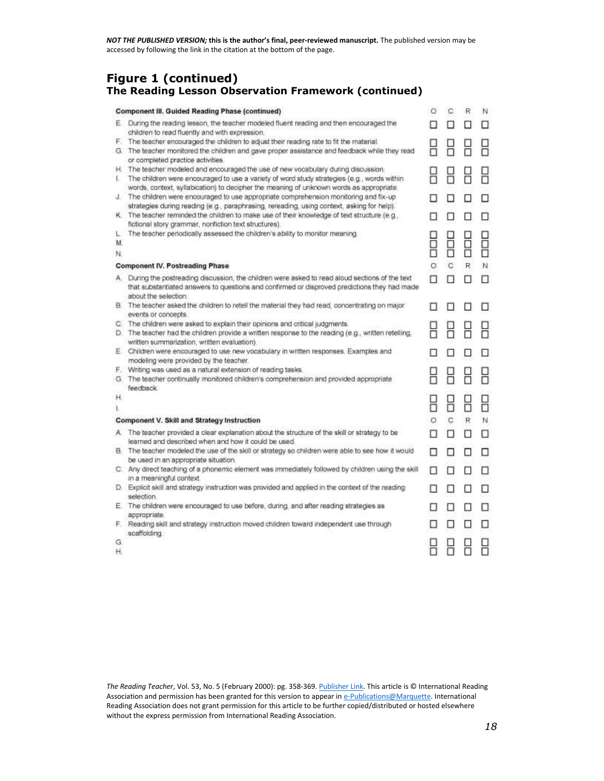#### **Figure 1 (continued) The Reading Lesson Observation Framework (continued)**

|         | <b>Component III. Guided Reading Phase (continued)</b>                                                                                                                                                                                              | O | с  | R | Ν |
|---------|-----------------------------------------------------------------------------------------------------------------------------------------------------------------------------------------------------------------------------------------------------|---|----|---|---|
|         | E. During the reading lesson, the teacher modeled fluent reading and then encouraged the<br>children to read fluently and with expression.                                                                                                          |   | Ω  | □ | п |
|         | F. The teacher encouraged the children to adjust their reading rate to fit the material.                                                                                                                                                            |   |    |   |   |
|         | G. The teacher monitored the children and gave proper assistance and feedback while they read<br>or completed practice activities.                                                                                                                  |   |    |   |   |
|         | H. The teacher modeled and encouraged the use of new vocabulary during discussion.                                                                                                                                                                  |   |    |   |   |
| L.      | The children were encouraged to use a variety of word study strategies (e.g., words within<br>words, context, syllabication) to decipher the meaning of unknown words as appropriate.                                                               |   |    |   |   |
| ď.      | The children were encouraged to use appropriate comprehension monitoring and fix-up                                                                                                                                                                 |   |    |   |   |
|         | strategies during reading (e.g., paraphrasing, rereading, using context, asking for help).<br>K. The teacher reminded the children to make use of their knowledge of text structure (e.g.,<br>fictional story grammar, nonfiction text structures). | П | Ω  | П | Ω |
| L       | The teacher periodically assessed the children's ability to monitor meaning.                                                                                                                                                                        |   | □  |   |   |
| M.      |                                                                                                                                                                                                                                                     | ō | Ο  | □ | ō |
| N.      |                                                                                                                                                                                                                                                     | п |    | П | п |
|         | <b>Component IV. Postreading Phase</b>                                                                                                                                                                                                              | O | c  | R | Ń |
|         | A. During the postreading discussion, the children were asked to read aloud sections of the text<br>that substantiated answers to questions and confirmed or disproved predictions they had made<br>about the selection.                            | п | П  | Π | п |
|         | B. The teacher asked the children to retell the material they had read, concentrating on major<br>events or concepts.                                                                                                                               |   | D. | Π | п |
|         | C. The children were asked to explain their opinions and critical judgments.                                                                                                                                                                        |   |    |   |   |
|         | D. The teacher had the children provide a written response to the reading (e.g., written retelling,<br>written summarization, written evaluation).                                                                                                  |   |    |   |   |
|         | E Children were encouraged to use new vocabulary in written responses. Examples and<br>modeling were provided by the teacher.                                                                                                                       |   | n  |   |   |
|         | F. Writing was used as a natural extension of reading tasks.                                                                                                                                                                                        |   |    |   |   |
|         | G. The teacher continually monitored children's comprehension and provided appropriate<br>feedback.                                                                                                                                                 |   |    |   |   |
| н.      |                                                                                                                                                                                                                                                     | Ħ |    | H | H |
| ı.      |                                                                                                                                                                                                                                                     |   |    |   |   |
|         | Component V. Skill and Strategy Instruction                                                                                                                                                                                                         | Ö | с  | R | N |
|         | A. The teacher provided a clear explanation about the structure of the skill or strategy to be<br>learned and described when and how it could be used.                                                                                              |   | Ω  | Ω | п |
|         | B. The teacher modeled the use of the skill or strategy so children were able to see how it would<br>be used in an appropriate situation.                                                                                                           |   | □  | □ | п |
|         | C. Any direct teaching of a phonemic element was immediately followed by children using the skill<br>in a meaningful context.                                                                                                                       | п | □  | □ | П |
|         | D. Explicit skill and strategy instruction was provided and applied in the context of the reading<br>selection.                                                                                                                                     |   | □  | Ω | Π |
|         | E. The children were encouraged to use before, during, and after reading strategies as<br>appropriate                                                                                                                                               |   | □  | □ | п |
| Æ.      | Reading skill and strategy instruction moved children toward independent use through<br>scaffolding.                                                                                                                                                |   | П  | П | п |
| G.<br>н |                                                                                                                                                                                                                                                     | Н | H  | п | п |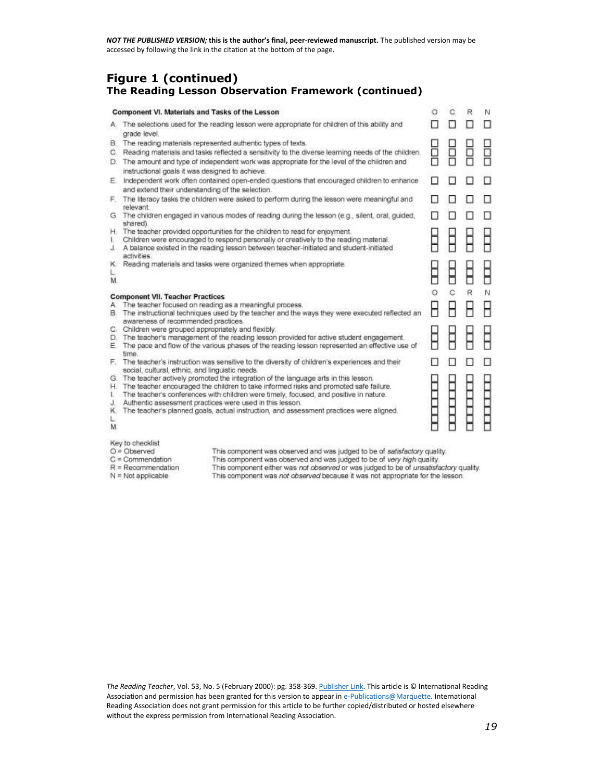#### **Figure 1 (continued) The Reading Lesson Observation Framework (continued)**

#### Component VI. Materials and Tasks of the Lesson

|    | Component VI. Materials and Tasks of the Lesson                                                                                                 |  |   |
|----|-------------------------------------------------------------------------------------------------------------------------------------------------|--|---|
|    | The selections used for the reading lesson were appropriate for children of this ability and<br>grade level.                                    |  |   |
| в. | The reading materials represented authentic types of texts.                                                                                     |  |   |
| C. | Reading materials and tasks reflected a sensitivity to the diverse learning needs of the children.                                              |  |   |
| D. | The amount and type of independent work was appropriate for the level of the children and<br>instructional goals it was designed to achieve.    |  |   |
| E. | Independent work often contained open-ended questions that encouraged children to enhance<br>and extend their understanding of the selection.   |  |   |
|    | F. The literacy tasks the children were asked to perform during the lesson were meaningful and<br>relevant                                      |  |   |
|    | G. The children engaged in various modes of reading during the lesson (e.g., silent, oral, guided,<br>shared)                                   |  |   |
| н. | The teacher provided opportunities for the children to read for enjoyment.                                                                      |  |   |
|    | Children were encouraged to respond personally or creatively to the reading material.                                                           |  |   |
|    | J. A balance existed in the reading lesson between teacher-initiated and student-initiated<br>activities.                                       |  |   |
|    | Reading materials and tasks were organized themes when appropriate.                                                                             |  |   |
|    |                                                                                                                                                 |  |   |
| M. |                                                                                                                                                 |  |   |
|    | <b>Component VII. Teacher Practices</b>                                                                                                         |  | N |
| A. | The teacher focused on reading as a meaningful process.                                                                                         |  |   |
| в. | The instructional techniques used by the teacher and the ways they were executed reflected an<br>awareness of recommended practices.            |  |   |
|    | C. Children were grouped appropriately and flexibly.                                                                                            |  |   |
| D. | The teacher's management of the reading lesson provided for active student engagement.                                                          |  |   |
| ε  | The pace and flow of the various phases of the reading lesson represented an effective use of<br>time                                           |  |   |
| F. | The teacher's instruction was sensitive to the diversity of children's experiences and their<br>social, cultural, ethnic, and linguistic needs. |  |   |
| G. | The teacher actively promoted the integration of the language arts in this lesson.                                                              |  |   |
| н. | The teacher encouraged the children to take informed risks and promoted safe failure.                                                           |  |   |
| ы  | The teacher's conferences with children were timely, focused, and positive in nature.                                                           |  |   |
| J. | Authentic assessment practices were used in this lesson.                                                                                        |  |   |
| ĸ  | The teacher's planned goals, actual instruction, and assessment practices were aligned.                                                         |  |   |
|    |                                                                                                                                                 |  |   |
| м  |                                                                                                                                                 |  |   |

Key to checklist  $O = Observe$ 

This component was observed and was judged to be of satisfactory quality.

 $R = Recommendation$ 

 $C =$  Commendation  $N = Not applicable$ 

This component was observed and was judged to be of very high quality.<br>This component either was not observed or was judged to be of unsatisfactory quality.

This component was not observed because it was not appropriate for the lesson.